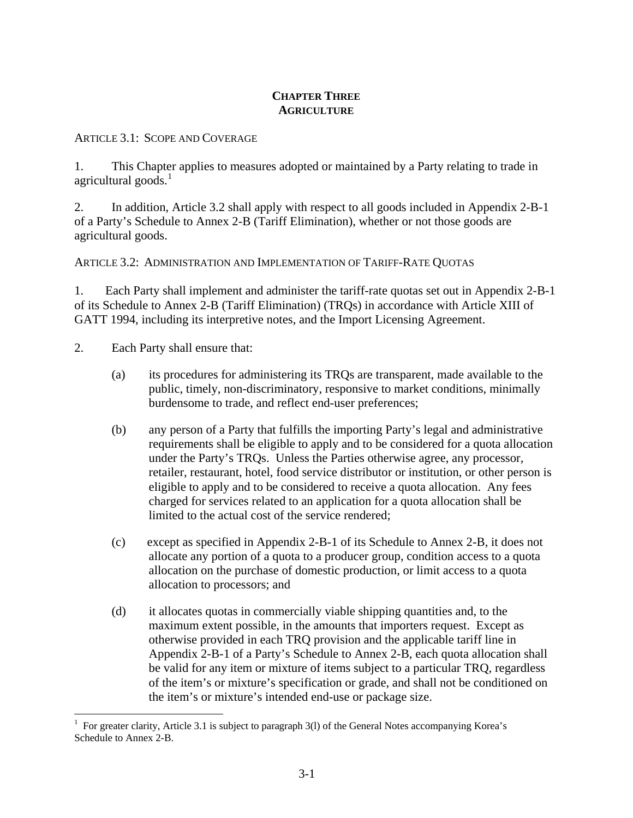### **CHAPTER THREE AGRICULTURE**

ARTICLE 3.1: SCOPE AND COVERAGE

1. This Chapter applies to measures adopted or maintained by a Party relating to trade in agricultural goods. $<sup>1</sup>$  $<sup>1</sup>$  $<sup>1</sup>$ </sup>

2. In addition, Article 3.2 shall apply with respect to all goods included in Appendix 2-B-1 of a Party's Schedule to Annex 2-B (Tariff Elimination), whether or not those goods are agricultural goods.

ARTICLE 3.2: ADMINISTRATION AND IMPLEMENTATION OF TARIFF-RATE QUOTAS

1. Each Party shall implement and administer the tariff-rate quotas set out in Appendix 2-B-1 of its Schedule to Annex 2-B (Tariff Elimination) (TRQs) in accordance with Article XIII of GATT 1994, including its interpretive notes, and the Import Licensing Agreement.

- 2. Each Party shall ensure that:
	- (a) its procedures for administering its TRQs are transparent, made available to the public, timely, non-discriminatory, responsive to market conditions, minimally burdensome to trade, and reflect end-user preferences;
	- (b) any person of a Party that fulfills the importing Party's legal and administrative requirements shall be eligible to apply and to be considered for a quota allocation under the Party's TRQs. Unless the Parties otherwise agree, any processor, retailer, restaurant, hotel, food service distributor or institution, or other person is eligible to apply and to be considered to receive a quota allocation. Any fees charged for services related to an application for a quota allocation shall be limited to the actual cost of the service rendered;
	- (c) except as specified in Appendix 2-B-1 of its Schedule to Annex 2-B, it does not allocate any portion of a quota to a producer group, condition access to a quota allocation on the purchase of domestic production, or limit access to a quota allocation to processors; and
	- (d) it allocates quotas in commercially viable shipping quantities and, to the maximum extent possible, in the amounts that importers request. Except as otherwise provided in each TRQ provision and the applicable tariff line in Appendix 2-B-1 of a Party's Schedule to Annex 2-B, each quota allocation shall be valid for any item or mixture of items subject to a particular TRQ, regardless of the item's or mixture's specification or grade, and shall not be conditioned on the item's or mixture's intended end-use or package size.

<span id="page-0-0"></span> $\overline{a}$ 1 For greater clarity, Article 3.1 is subject to paragraph 3(l) of the General Notes accompanying Korea's Schedule to Annex 2-B.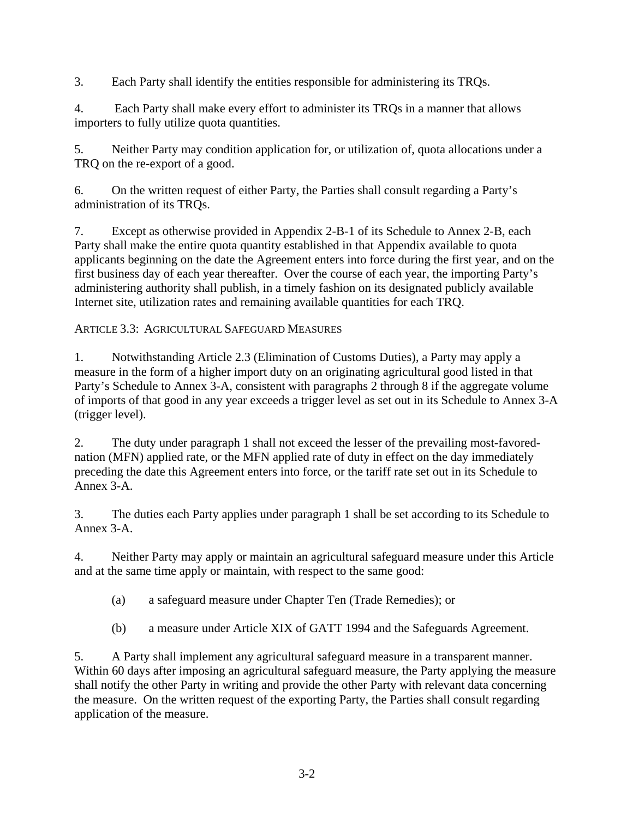3. Each Party shall identify the entities responsible for administering its TRQs.

4. Each Party shall make every effort to administer its TRQs in a manner that allows importers to fully utilize quota quantities.

5. Neither Party may condition application for, or utilization of, quota allocations under a TRQ on the re-export of a good.

6. On the written request of either Party, the Parties shall consult regarding a Party's administration of its TRQs.

7. Except as otherwise provided in Appendix 2-B-1 of its Schedule to Annex 2-B, each Party shall make the entire quota quantity established in that Appendix available to quota applicants beginning on the date the Agreement enters into force during the first year, and on the first business day of each year thereafter. Over the course of each year, the importing Party's administering authority shall publish, in a timely fashion on its designated publicly available Internet site, utilization rates and remaining available quantities for each TRQ.

## ARTICLE 3.3: AGRICULTURAL SAFEGUARD MEASURES

1. Notwithstanding Article 2.3 (Elimination of Customs Duties), a Party may apply a measure in the form of a higher import duty on an originating agricultural good listed in that Party's Schedule to Annex 3-A, consistent with paragraphs 2 through 8 if the aggregate volume of imports of that good in any year exceeds a trigger level as set out in its Schedule to Annex 3-A (trigger level).

2. The duty under paragraph 1 shall not exceed the lesser of the prevailing most-favorednation (MFN) applied rate, or the MFN applied rate of duty in effect on the day immediately preceding the date this Agreement enters into force, or the tariff rate set out in its Schedule to Annex 3-A.

3. The duties each Party applies under paragraph 1 shall be set according to its Schedule to Annex 3-A.

4. Neither Party may apply or maintain an agricultural safeguard measure under this Article and at the same time apply or maintain, with respect to the same good:

- (a) a safeguard measure under Chapter Ten (Trade Remedies); or
- (b) a measure under Article XIX of GATT 1994 and the Safeguards Agreement.

5. A Party shall implement any agricultural safeguard measure in a transparent manner. Within 60 days after imposing an agricultural safeguard measure, the Party applying the measure shall notify the other Party in writing and provide the other Party with relevant data concerning the measure. On the written request of the exporting Party, the Parties shall consult regarding application of the measure.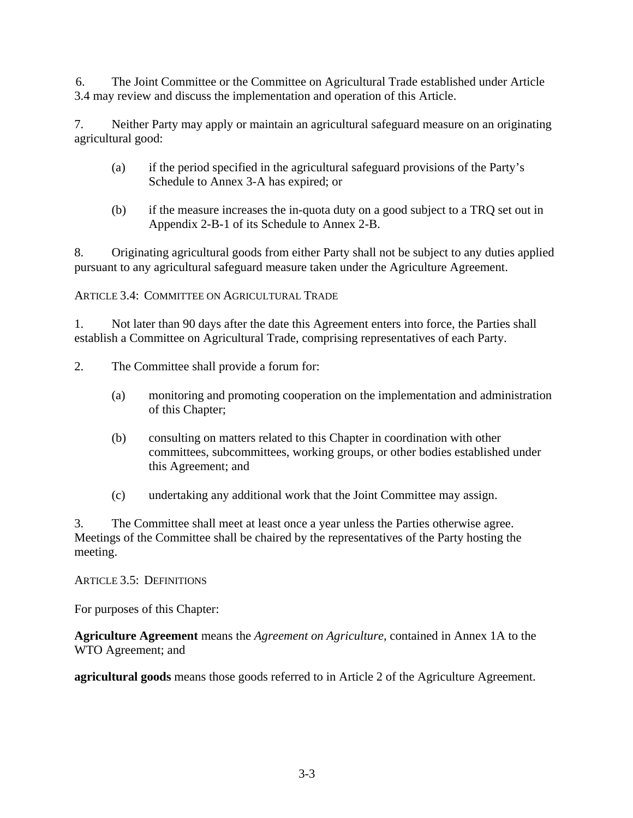6. The Joint Committee or the Committee on Agricultural Trade established under Article 3.4 may review and discuss the implementation and operation of this Article.

7. Neither Party may apply or maintain an agricultural safeguard measure on an originating agricultural good:

- (a) if the period specified in the agricultural safeguard provisions of the Party's Schedule to Annex 3-A has expired; or
- (b) if the measure increases the in-quota duty on a good subject to a TRQ set out in Appendix 2-B-1 of its Schedule to Annex 2-B.

8. Originating agricultural goods from either Party shall not be subject to any duties applied pursuant to any agricultural safeguard measure taken under the Agriculture Agreement.

ARTICLE 3.4: COMMITTEE ON AGRICULTURAL TRADE

1. Not later than 90 days after the date this Agreement enters into force, the Parties shall establish a Committee on Agricultural Trade, comprising representatives of each Party.

- 2. The Committee shall provide a forum for:
	- (a) monitoring and promoting cooperation on the implementation and administration of this Chapter;
	- (b) consulting on matters related to this Chapter in coordination with other committees, subcommittees, working groups, or other bodies established under this Agreement; and
	- (c) undertaking any additional work that the Joint Committee may assign.

3. The Committee shall meet at least once a year unless the Parties otherwise agree. Meetings of the Committee shall be chaired by the representatives of the Party hosting the meeting.

ARTICLE 3.5: DEFINITIONS

For purposes of this Chapter:

**Agriculture Agreement** means the *Agreement on Agriculture,* contained in Annex 1A to the WTO Agreement; and

**agricultural goods** means those goods referred to in Article 2 of the Agriculture Agreement.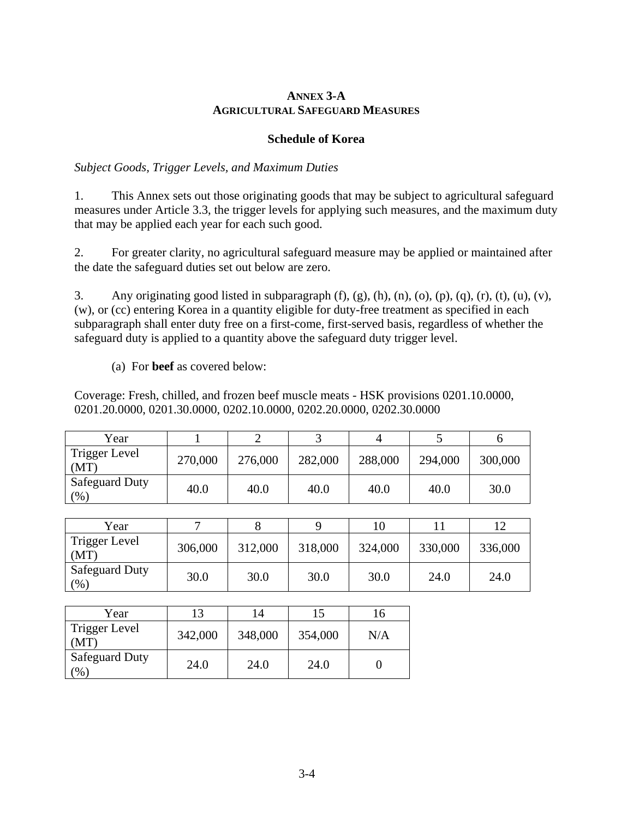### **ANNEX 3-A AGRICULTURAL SAFEGUARD MEASURES**

#### **Schedule of Korea**

### *Subject Goods, Trigger Levels, and Maximum Duties*

1. This Annex sets out those originating goods that may be subject to agricultural safeguard measures under Article 3.3, the trigger levels for applying such measures, and the maximum duty that may be applied each year for each such good.

2. For greater clarity, no agricultural safeguard measure may be applied or maintained after the date the safeguard duties set out below are zero.

3. Any originating good listed in subparagraph  $(f)$ ,  $(g)$ ,  $(h)$ ,  $(n)$ ,  $(o)$ ,  $(p)$ ,  $(q)$ ,  $(r)$ ,  $(t)$ ,  $(u)$ ,  $(v)$ , (w), or (cc) entering Korea in a quantity eligible for duty-free treatment as specified in each subparagraph shall enter duty free on a first-come, first-served basis, regardless of whether the safeguard duty is applied to a quantity above the safeguard duty trigger level.

(a) For **beef** as covered below:

Coverage: Fresh, chilled, and frozen beef muscle meats - HSK provisions 0201.10.0000, 0201.20.0000, 0201.30.0000, 0202.10.0000, 0202.20.0000, 0202.30.0000

| Year                          |         |         |         |         |         |         |
|-------------------------------|---------|---------|---------|---------|---------|---------|
| Trigger Level<br>(MT)         | 270,000 | 276,000 | 282,000 | 288,000 | 294,000 | 300,000 |
| <b>Safeguard Duty</b><br>(% ) | 40.0    | 40.0    | 40.0    | 40.0    | 40.0    | 30.0    |

| Year                             |         |         |         | 10      |         |         |
|----------------------------------|---------|---------|---------|---------|---------|---------|
| Trigger Level<br>(MT)            | 306,000 | 312,000 | 318,000 | 324,000 | 330,000 | 336,000 |
| <b>Safeguard Duty</b><br>$(\% )$ | 30.0    | 30.0    | 30.0    | 30.0    | 24.0    | 24.0    |

| Year                                   |         | 14      |         |     |
|----------------------------------------|---------|---------|---------|-----|
| Trigger Level<br>(MT)                  | 342,000 | 348,000 | 354,000 | N/A |
| <b>Safeguard Duty</b><br>$\frac{1}{2}$ | 24.0    | 24.0    | 24.0    |     |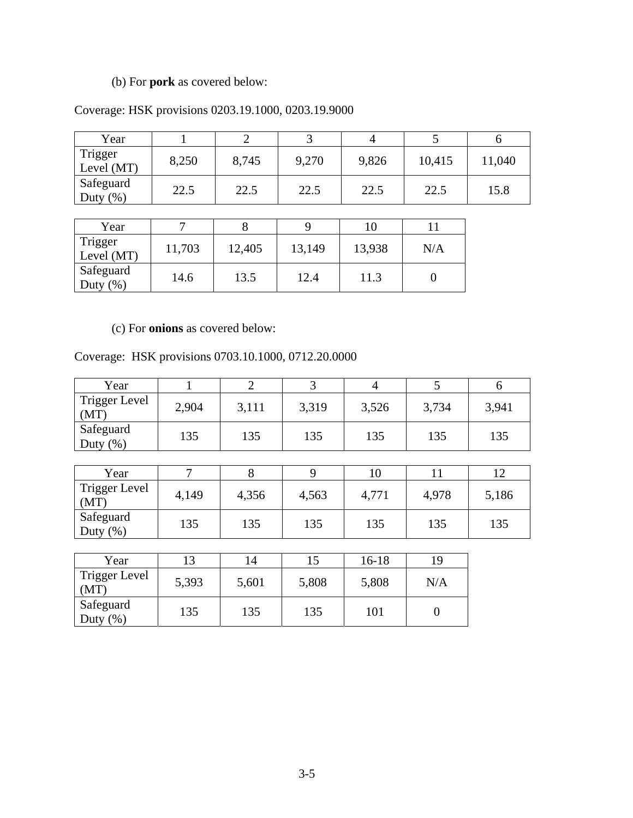# (b) For **pork** as covered below:

## Coverage: HSK provisions 0203.19.1000, 0203.19.9000

| Year                      |       |       | ٮ     |       |        |        |
|---------------------------|-------|-------|-------|-------|--------|--------|
| Trigger<br>Level (MT)     | 8,250 | 8,745 | 9,270 | 9,826 | 10,415 | 11,040 |
| Safeguard<br>Duty $(\% )$ | 22.5  | 22.5  | 22.5  | 22.5  | 22.5   | 15.8   |

| Year                      |        |        |        |        |     |
|---------------------------|--------|--------|--------|--------|-----|
| Trigger<br>Level (MT)     | 11,703 | 12,405 | 13,149 | 13,938 | N/A |
| Safeguard<br>(% )<br>Duty | 14.6   | 13.5   | 12.4   | 11.3   |     |

## (c) For **onions** as covered below:

### Coverage: HSK provisions 0703.10.1000, 0712.20.0000

| Year                         | 1              | $\overline{2}$ | 3     | $\overline{4}$  | 5        | 6     |
|------------------------------|----------------|----------------|-------|-----------------|----------|-------|
| <b>Trigger Level</b><br>(MT) | 2,904          | 3,111          | 3,319 | 3,526           | 3,734    | 3,941 |
| Safeguard<br>Duty $(\%)$     | 135            | 135            | 135   | 135             | 135      | 135   |
|                              |                |                |       |                 |          |       |
| Year                         | $\overline{7}$ | 8              | 9     | 10              | 11       | 12    |
| <b>Trigger Level</b><br>(MT) | 4,149          | 4,356          | 4,563 | 4,771           | 4,978    | 5,186 |
| Safeguard<br>Duty $(\%)$     | 135            | 135            | 135   | 135             | 135      | 135   |
|                              |                |                |       |                 |          |       |
| Year                         | 13             | 14             | 15    | $16-18$         | 19       |       |
| Trigger Level<br>(MT)        | 5,393          | 5,601          | 5,808 | 5,808           | N/A      |       |
| Safeguard                    | 125            | 125            | 125   | 1 <sub>01</sub> | $\Omega$ |       |

Duty (%) 135 135 135 101 0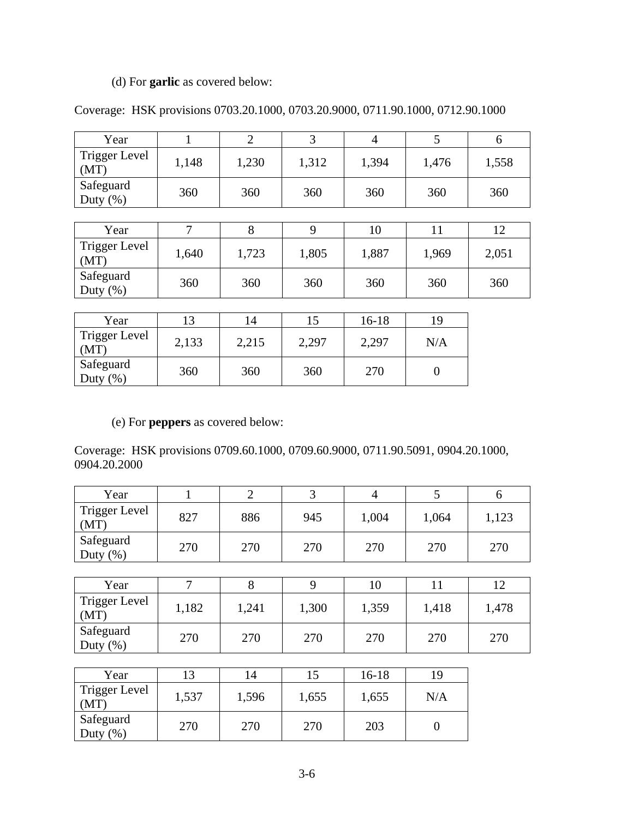## (d) For **garlic** as covered below:

| Year                     |       |       |       |       |       | O     |
|--------------------------|-------|-------|-------|-------|-------|-------|
| Trigger Level<br>(MT)    | 1,148 | 1,230 | 1,312 | 1,394 | 1,476 | 1,558 |
| Safeguard<br>Duty $(\%)$ | 360   | 360   | 360   | 360   | 360   | 360   |
|                          |       |       |       |       |       |       |
| Year                     |       |       |       | 10    |       | 12    |
| <b>Trigger Level</b>     | 640   | 723   | 1.805 | 1 887 | 1969  | 2.051 |

## Coverage: HSK provisions 0703.20.1000, 0703.20.9000, 0711.90.1000, 0712.90.1000

| Y ear                    |       |       |       | 10    |       |       |
|--------------------------|-------|-------|-------|-------|-------|-------|
| Trigger Level<br>(MT)    | .,640 | 1,723 | 1,805 | 1,887 | 1,969 | 2,051 |
| Safeguard<br>Duty $(\%)$ | 360   | 360   | 360   | 360   | 360   | 360   |

| Year                        | 13    | !4    |       | $16-18$ | 19  |
|-----------------------------|-------|-------|-------|---------|-----|
| <b>Trigger Level</b><br>MT) | 2,133 | 2,215 | 2,297 | 2,297   | N/A |
| Safeguard<br>(% )<br>Duty   | 360   | 360   | 360   | 270     |     |

## (e) For **peppers** as covered below:

Coverage: HSK provisions 0709.60.1000, 0709.60.9000, 0711.90.5091, 0904.20.1000, 0904.20.2000

| Year                         | $\mathbf{1}$ | $\overline{2}$ | 3     | $\overline{4}$ | 5              | 6     |  |  |  |  |
|------------------------------|--------------|----------------|-------|----------------|----------------|-------|--|--|--|--|
| <b>Trigger Level</b><br>(MT) | 827          | 886            | 945   | 1,004          | 1,064          | 1,123 |  |  |  |  |
| Safeguard<br>Duty $(\%)$     | 270          | 270            | 270   | 270            | 270            | 270   |  |  |  |  |
|                              |              |                |       |                |                |       |  |  |  |  |
| Year                         | 7            | 8              | 9     | 10             | 11             | 12    |  |  |  |  |
| <b>Trigger Level</b><br>(MT) | 1,182        | 1,241          | 1,300 | 1,359          | 1,418          | 1,478 |  |  |  |  |
| Safeguard<br>Duty $(\%)$     | 270          | 270            | 270   | 270            | 270            | 270   |  |  |  |  |
|                              |              |                |       |                |                |       |  |  |  |  |
| Year                         | 13           | 14             | 15    | $16-18$        | 19             |       |  |  |  |  |
| <b>Trigger Level</b><br>(MT) | 1,537        | 1,596          | 1,655 | 1,655          | N/A            |       |  |  |  |  |
| Safeguard<br>Duty $(\% )$    | 270          | 270            | 270   | 203            | $\overline{0}$ |       |  |  |  |  |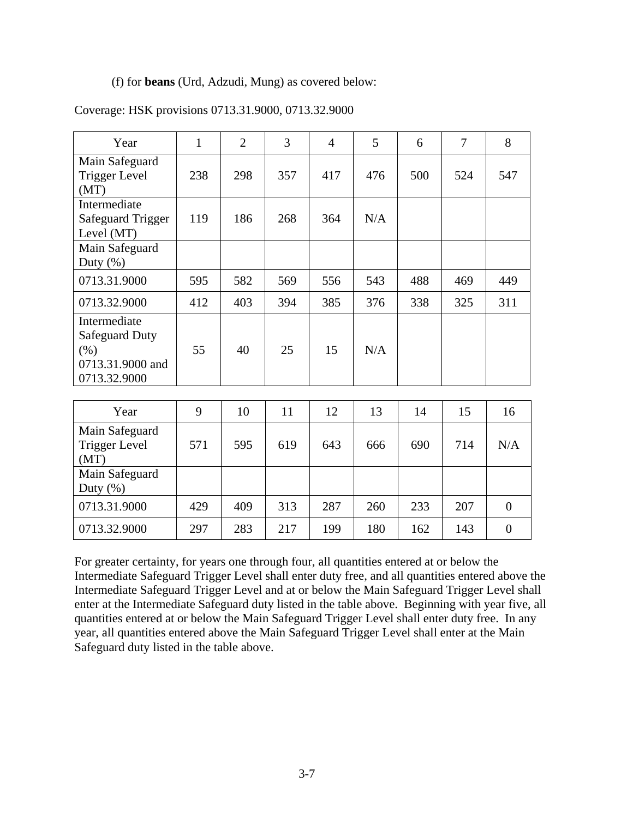#### (f) for **beans** (Urd, Adzudi, Mung) as covered below:

| Year                                                                              | $\mathbf{1}$ | $\overline{2}$ | 3   | $\overline{4}$ | 5   | 6   | 7   | 8              |
|-----------------------------------------------------------------------------------|--------------|----------------|-----|----------------|-----|-----|-----|----------------|
| Main Safeguard<br><b>Trigger Level</b><br>(MT)                                    | 238          | 298            | 357 | 417            | 476 | 500 | 524 | 547            |
| Intermediate<br><b>Safeguard Trigger</b><br>Level (MT)                            | 119          | 186            | 268 | 364            | N/A |     |     |                |
| Main Safeguard<br>Duty $(\%)$                                                     |              |                |     |                |     |     |     |                |
| 0713.31.9000                                                                      | 595          | 582            | 569 | 556            | 543 | 488 | 469 | 449            |
| 0713.32.9000                                                                      | 412          | 403            | 394 | 385            | 376 | 338 | 325 | 311            |
| Intermediate<br><b>Safeguard Duty</b><br>(% )<br>0713.31.9000 and<br>0713.32.9000 | 55           | 40             | 25  | 15             | N/A |     |     |                |
| Year                                                                              | 9            | 10             | 11  | 12             | 13  | 14  | 15  | 16             |
| Main Safeguard<br><b>Trigger Level</b><br>(MT)                                    | 571          | 595            | 619 | 643            | 666 | 690 | 714 | N/A            |
| Main Safeguard<br>Duty $(\%)$                                                     |              |                |     |                |     |     |     |                |
| 0713.31.9000                                                                      | 429          | 409            | 313 | 287            | 260 | 233 | 207 | $\overline{0}$ |
| 0713.32.9000                                                                      | 297          | 283            | 217 | 199            | 180 | 162 | 143 | $\overline{0}$ |

#### Coverage: HSK provisions 0713.31.9000, 0713.32.9000

For greater certainty, for years one through four, all quantities entered at or below the Intermediate Safeguard Trigger Level shall enter duty free, and all quantities entered above the Intermediate Safeguard Trigger Level and at or below the Main Safeguard Trigger Level shall enter at the Intermediate Safeguard duty listed in the table above. Beginning with year five, all quantities entered at or below the Main Safeguard Trigger Level shall enter duty free. In any year, all quantities entered above the Main Safeguard Trigger Level shall enter at the Main Safeguard duty listed in the table above.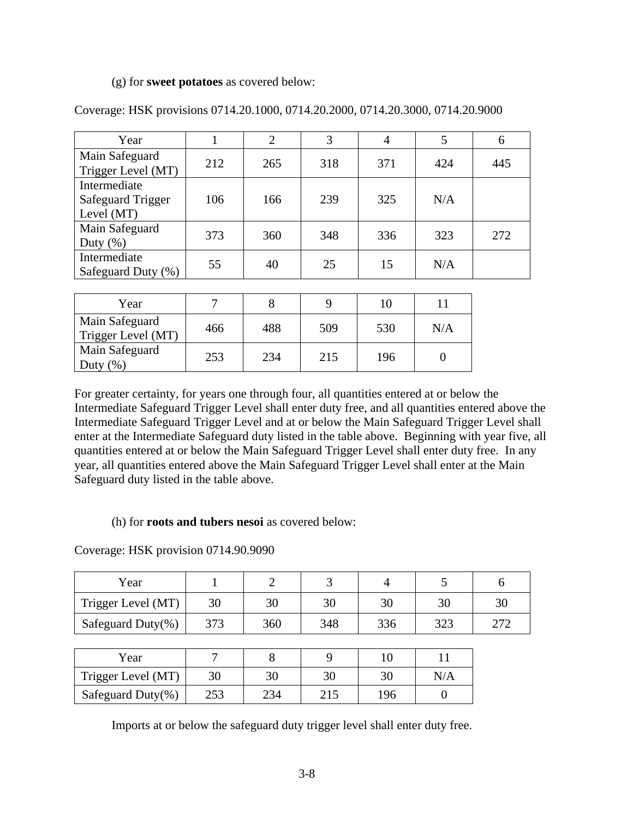#### (g) for **sweet potatoes** as covered below:

| Year                                                     |     | $\overline{2}$ | 3   | 4   | 5   | 6   |
|----------------------------------------------------------|-----|----------------|-----|-----|-----|-----|
| Main Safeguard<br>Trigger Level (MT)                     | 212 | 265            | 318 | 371 | 424 | 445 |
| Intermediate<br><b>Safeguard Trigger</b><br>Level $(MT)$ | 106 | 166            | 239 | 325 | N/A |     |
| Main Safeguard<br>Duty $(\% )$                           | 373 | 360            | 348 | 336 | 323 | 272 |
| Intermediate<br>Safeguard Duty (%)                       | 55  | 40             | 25  | 15  | N/A |     |

Coverage: HSK provisions 0714.20.1000, 0714.20.2000, 0714.20.3000, 0714.20.9000

| Year                                 |     |     |     | 10  |     |
|--------------------------------------|-----|-----|-----|-----|-----|
| Main Safeguard<br>Trigger Level (MT) | 466 | 488 | 509 | 530 | N/A |
| Main Safeguard<br>Duty $(\%)$        | 253 | 234 | 215 | 196 |     |

For greater certainty, for years one through four, all quantities entered at or below the Intermediate Safeguard Trigger Level shall enter duty free, and all quantities entered above the Intermediate Safeguard Trigger Level and at or below the Main Safeguard Trigger Level shall enter at the Intermediate Safeguard duty listed in the table above. Beginning with year five, all quantities entered at or below the Main Safeguard Trigger Level shall enter duty free. In any year, all quantities entered above the Main Safeguard Trigger Level shall enter at the Main Safeguard duty listed in the table above.

#### (h) for **roots and tubers nesoi** as covered below:

Coverage: HSK provision 0714.90.9090

| Year                  |     | 2   | 3   | 4   |     | 6   |
|-----------------------|-----|-----|-----|-----|-----|-----|
| Trigger Level (MT)    | 30  | 30  | 30  | 30  | 30  | 30  |
| Safeguard Duty $(\%)$ | 373 | 360 | 348 | 336 | 323 | 272 |
|                       |     |     |     |     |     |     |
| Year                  |     | 8   | 9   | 10  |     |     |
| Trigger Level (MT)    | 30  | 30  | 30  | 30  | N/A |     |
| Safeguard Duty $(\%)$ | 253 | 234 | 215 | 196 |     |     |

Imports at or below the safeguard duty trigger level shall enter duty free.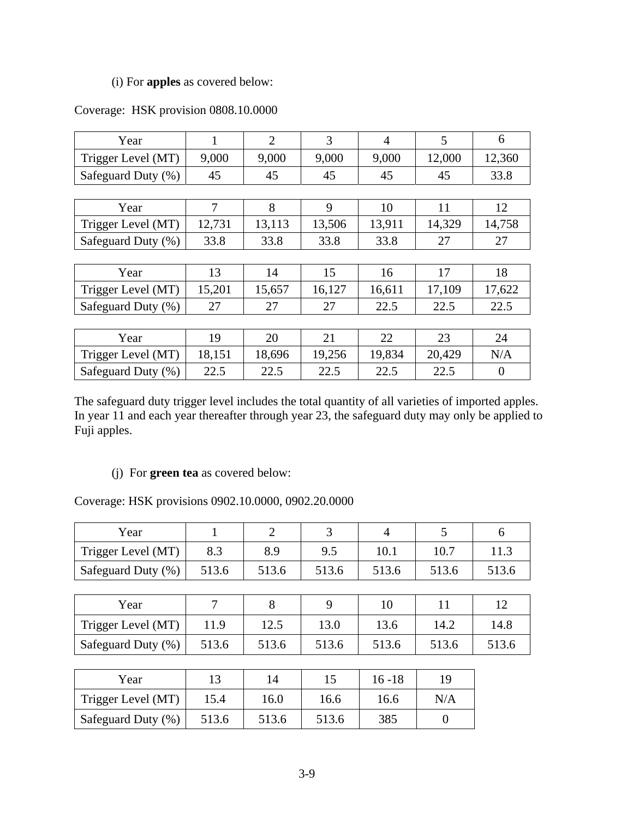### (i) For **apples** as covered below:

| Year               | 1      | $\overline{2}$ | 3      | 4      | 5      | 6              |
|--------------------|--------|----------------|--------|--------|--------|----------------|
| Trigger Level (MT) | 9,000  | 9,000          | 9,000  | 9,000  | 12,000 | 12,360         |
| Safeguard Duty (%) | 45     | 45             | 45     | 45     | 45     | 33.8           |
|                    |        |                |        |        |        |                |
| Year               | 7      | 8              | 9      | 10     | 11     | 12             |
| Trigger Level (MT) | 12,731 | 13,113         | 13,506 | 13,911 | 14,329 | 14,758         |
| Safeguard Duty (%) | 33.8   | 33.8           | 33.8   | 33.8   | 27     | 27             |
|                    |        |                |        |        |        |                |
| Year               | 13     | 14             | 15     | 16     | 17     | 18             |
| Trigger Level (MT) | 15,201 | 15,657         | 16,127 | 16,611 | 17,109 | 17,622         |
| Safeguard Duty (%) | 27     | 27             | 27     | 22.5   | 22.5   | 22.5           |
|                    |        |                |        |        |        |                |
| Year               | 19     | 20             | 21     | 22     | 23     | 24             |
| Trigger Level (MT) | 18,151 | 18,696         | 19,256 | 19,834 | 20,429 | N/A            |
| Safeguard Duty (%) | 22.5   | 22.5           | 22.5   | 22.5   | 22.5   | $\overline{0}$ |

### Coverage: HSK provision 0808.10.0000

The safeguard duty trigger level includes the total quantity of all varieties of imported apples. In year 11 and each year thereafter through year 23, the safeguard duty may only be applied to Fuji apples.

## (j) For **green tea** as covered below:

Coverage: HSK provisions 0902.10.0000, 0902.20.0000

| Year               |       | $\overline{2}$ | 3     | $\overline{A}$ | 5              | 6     |
|--------------------|-------|----------------|-------|----------------|----------------|-------|
| Trigger Level (MT) | 8.3   | 8.9            | 9.5   | 10.1           | 10.7           | 11.3  |
| Safeguard Duty (%) | 513.6 | 513.6          | 513.6 | 513.6          | 513.6          | 513.6 |
|                    |       |                |       |                |                |       |
| Year               | 7     | 8              | 9     | 10             | 11             | 12    |
| Trigger Level (MT) | 11.9  | 12.5           | 13.0  | 13.6           | 14.2           | 14.8  |
| Safeguard Duty (%) | 513.6 | 513.6          | 513.6 | 513.6          | 513.6          | 513.6 |
|                    |       |                |       |                |                |       |
| Year               | 13    | 14             | 15    | $16 - 18$      | 19             |       |
| Trigger Level (MT) | 15.4  | 16.0           | 16.6  | 16.6           | N/A            |       |
| Safeguard Duty (%) | 513.6 | 513.6          | 513.6 | 385            | $\overline{0}$ |       |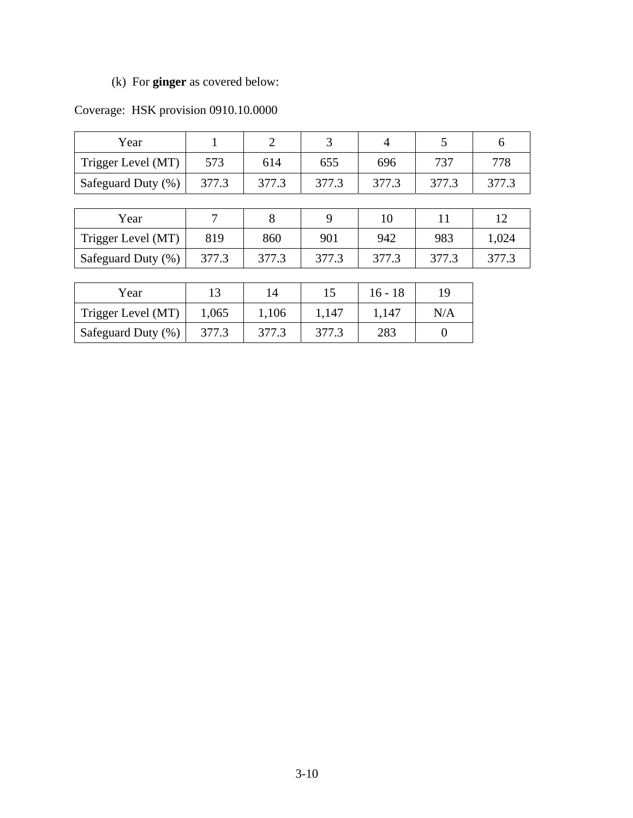# (k) For **ginger** as covered below:

| Year               |       | $\overline{2}$ | 3     | $\overline{4}$ | 5     | 6     |
|--------------------|-------|----------------|-------|----------------|-------|-------|
| Trigger Level (MT) | 573   | 614            | 655   | 696            | 737   | 778   |
| Safeguard Duty (%) | 377.3 | 377.3          | 377.3 | 377.3          | 377.3 | 377.3 |
|                    |       |                |       |                |       |       |
| Year               |       | 8              | 9     | 10             | 11    | 12    |
| Trigger Level (MT) | 819   | 860            | 901   | 942            | 983   | 1,024 |
| Safeguard Duty (%) | 377.3 | 377.3          | 377.3 | 377.3          | 377.3 | 377.3 |
|                    |       |                |       |                |       |       |
| Year               | 13    | 14             | 15    | $16 - 18$      | 19    |       |
| Trigger Level (MT) | 1,065 | 1,106          | 1,147 | 1,147          | N/A   |       |

Safeguard Duty (%) 377.3 377.3 377.3 377.3 377.3 377.3

# Coverage: HSK provision 0910.10.0000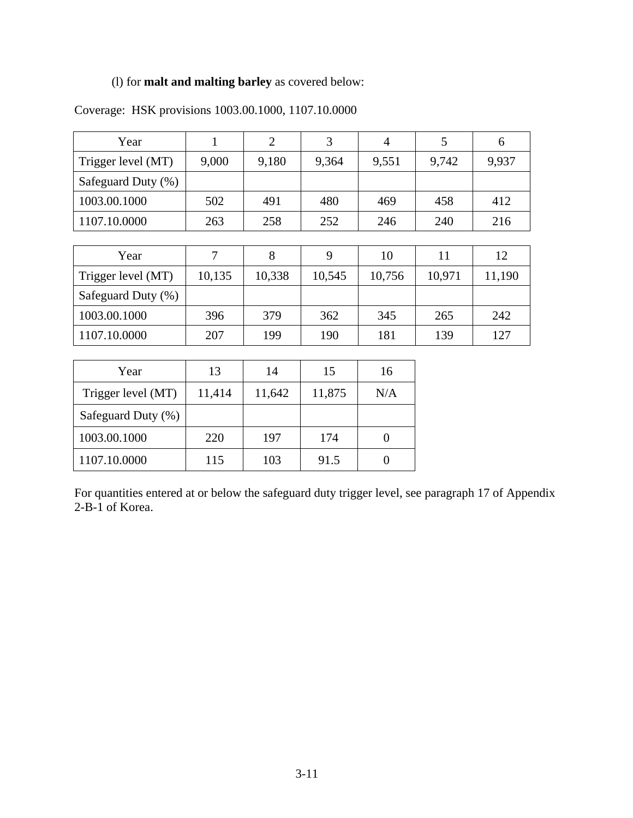## (l) for **malt and malting barley** as covered below:

| Year               | 1      | $\overline{2}$ | 3      | $\overline{4}$ | 5      | 6      |
|--------------------|--------|----------------|--------|----------------|--------|--------|
| Trigger level (MT) | 9,000  | 9,180          | 9,364  | 9,551          | 9,742  | 9,937  |
| Safeguard Duty (%) |        |                |        |                |        |        |
| 1003.00.1000       | 502    | 491            | 480    | 469            | 458    | 412    |
| 1107.10.0000       | 263    | 258            | 252    | 246            | 240    | 216    |
|                    |        |                |        |                |        |        |
| Year               | $\tau$ | 8              | 9      | 10             | 11     | 12     |
| Trigger level (MT) | 10,135 | 10,338         | 10,545 | 10,756         | 10,971 | 11,190 |
| Safeguard Duty (%) |        |                |        |                |        |        |
| 1003.00.1000       | 396    | 379            | 362    | 345            | 265    | 242    |
| 1107.10.0000       | 207    | 199            | 190    | 181            | 139    | 127    |
|                    |        |                |        |                |        |        |
| Year               | 13     | 14             | 15     | 16             |        |        |
| Trigger level (MT) | 11,414 | 11,642         | 11,875 | N/A            |        |        |
| Safeguard Duty (%) |        |                |        |                |        |        |

# Coverage: HSK provisions 1003.00.1000, 1107.10.0000

| 1003.00.1000<br>197<br>220<br>174<br>103<br>115<br>91.5 | Safeguard Duty (%) |  |  |
|---------------------------------------------------------|--------------------|--|--|
| 1107.10.0000                                            |                    |  |  |
|                                                         |                    |  |  |

For quantities entered at or below the safeguard duty trigger level, see paragraph 17 of Appendix 2-B-1 of Korea.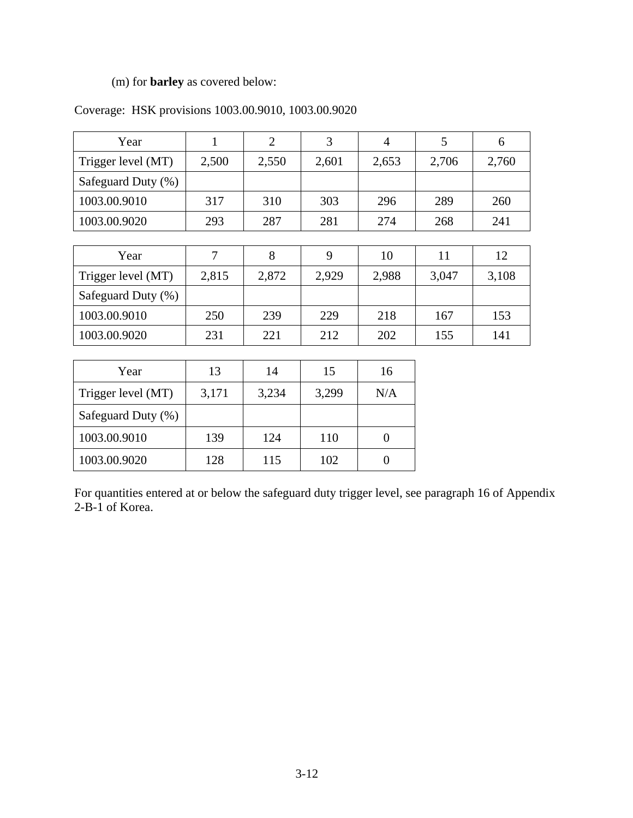# (m) for **barley** as covered below:

|  |  |  |  |  | Coverage: HSK provisions 1003.00.9010, 1003.00.9020 |
|--|--|--|--|--|-----------------------------------------------------|
|--|--|--|--|--|-----------------------------------------------------|

1003.00.9020 128 115 102 0

| Year               | $\mathbf{1}$ | $\overline{2}$ | 3     | $\overline{4}$ | 5     | 6     |
|--------------------|--------------|----------------|-------|----------------|-------|-------|
| Trigger level (MT) | 2,500        | 2,550          | 2,601 | 2,653          | 2,706 | 2,760 |
| Safeguard Duty (%) |              |                |       |                |       |       |
| 1003.00.9010       | 317          | 310            | 303   | 296            | 289   | 260   |
| 1003.00.9020       | 293          | 287            | 281   | 274            | 268   | 241   |
|                    |              |                |       |                |       |       |
| Year               | 7            | 8              | 9     | 10             | 11    | 12    |
| Trigger level (MT) | 2,815        | 2,872          | 2,929 | 2,988          | 3,047 | 3,108 |
| Safeguard Duty (%) |              |                |       |                |       |       |
| 1003.00.9010       | 250          | 239            | 229   | 218            | 167   | 153   |
| 1003.00.9020       | 231          | 221            | 212   | 202            | 155   | 141   |
|                    |              |                |       |                |       |       |
| Year               | 13           | 14             | 15    | 16             |       |       |
| Trigger level (MT) | 3,171        | 3,234          | 3,299 | N/A            |       |       |
| Safeguard Duty (%) |              |                |       |                |       |       |
| 1003.00.9010       | 139          | 124            | 110   | $\overline{0}$ |       |       |

For quantities entered at or below the safeguard duty trigger level, see paragraph 16 of Appendix 2-B-1 of Korea.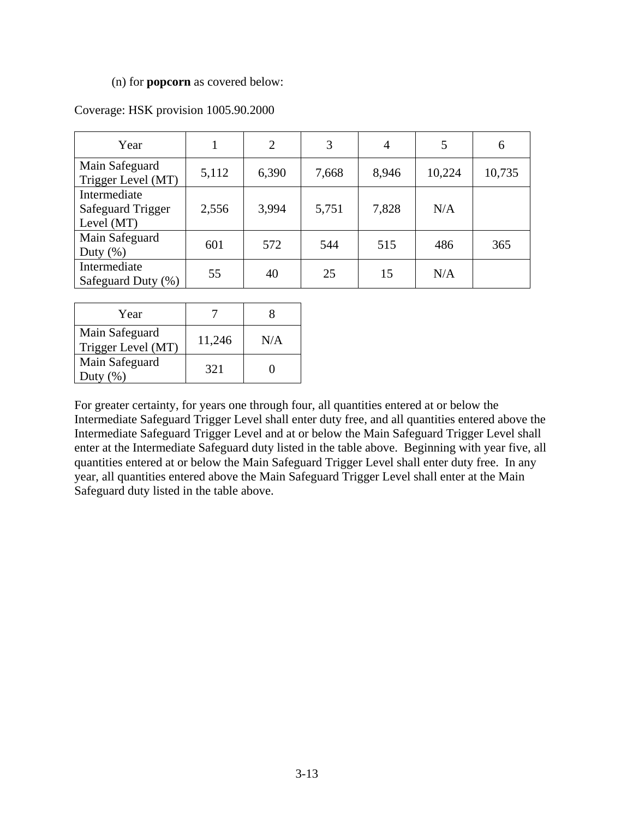#### (n) for **popcorn** as covered below:

| Year                                                     |       | $\overline{2}$ | 3     | $\overline{4}$ | 5      | 6      |
|----------------------------------------------------------|-------|----------------|-------|----------------|--------|--------|
| Main Safeguard<br>Trigger Level (MT)                     | 5,112 | 6,390          | 7,668 | 8,946          | 10,224 | 10,735 |
| Intermediate<br><b>Safeguard Trigger</b><br>Level $(MT)$ | 2,556 | 3,994          | 5,751 | 7,828          | N/A    |        |
| Main Safeguard<br>Duty $(\%)$                            | 601   | 572            | 544   | 515            | 486    | 365    |
| Intermediate<br>Safeguard Duty (%)                       | 55    | 40             | 25    | 15             | N/A    |        |

#### Coverage: HSK provision 1005.90.2000

| Year                                 |        |     |
|--------------------------------------|--------|-----|
| Main Safeguard<br>Trigger Level (MT) | 11,246 | N/A |
| Main Safeguard<br>Duty               | 321    |     |

For greater certainty, for years one through four, all quantities entered at or below the Intermediate Safeguard Trigger Level shall enter duty free, and all quantities entered above the Intermediate Safeguard Trigger Level and at or below the Main Safeguard Trigger Level shall enter at the Intermediate Safeguard duty listed in the table above. Beginning with year five, all quantities entered at or below the Main Safeguard Trigger Level shall enter duty free. In any year, all quantities entered above the Main Safeguard Trigger Level shall enter at the Main Safeguard duty listed in the table above.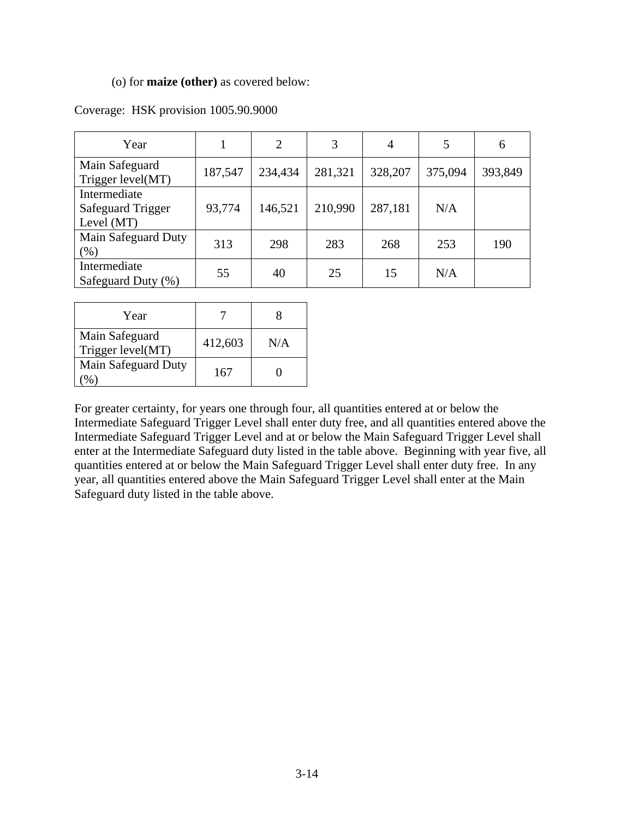#### (o) for **maize (other)** as covered below:

| Year                                                   |         | $\overline{2}$ | 3       | 4       | 5       | 6       |
|--------------------------------------------------------|---------|----------------|---------|---------|---------|---------|
| Main Safeguard<br>Trigger level(MT)                    | 187,547 | 234,434        | 281,321 | 328,207 | 375,094 | 393,849 |
| Intermediate<br><b>Safeguard Trigger</b><br>Level (MT) | 93,774  | 146,521        | 210,990 | 287,181 | N/A     |         |
| Main Safeguard Duty<br>(%)                             | 313     | 298            | 283     | 268     | 253     | 190     |
| Intermediate<br>Safeguard Duty (%)                     | 55      | 40             | 25      | 15      | N/A     |         |

#### Coverage: HSK provision 1005.90.9000

| Year                                |         |     |
|-------------------------------------|---------|-----|
| Main Safeguard<br>Trigger level(MT) | 412,603 | N/A |
| Main Safeguard Duty                 | 167     |     |

For greater certainty, for years one through four, all quantities entered at or below the Intermediate Safeguard Trigger Level shall enter duty free, and all quantities entered above the Intermediate Safeguard Trigger Level and at or below the Main Safeguard Trigger Level shall enter at the Intermediate Safeguard duty listed in the table above. Beginning with year five, all quantities entered at or below the Main Safeguard Trigger Level shall enter duty free. In any year, all quantities entered above the Main Safeguard Trigger Level shall enter at the Main Safeguard duty listed in the table above.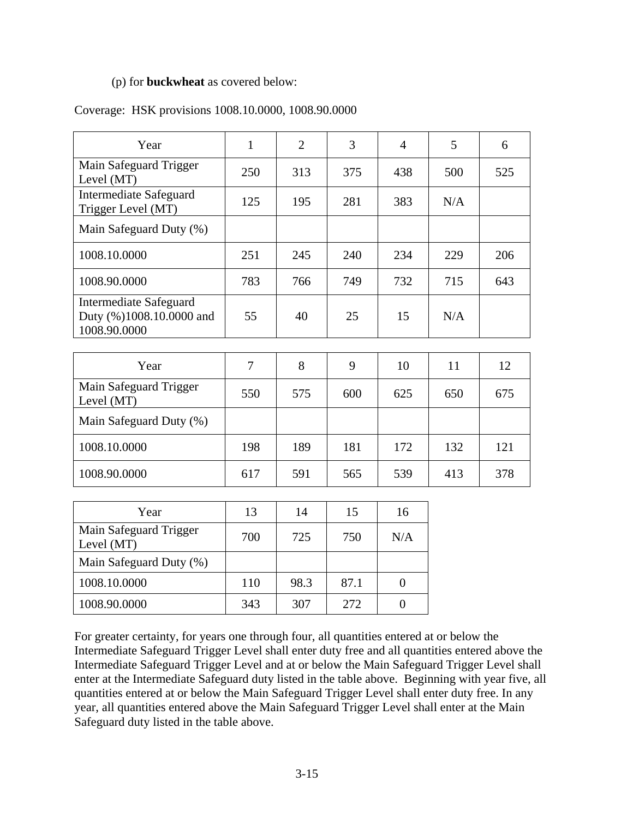#### (p) for **buckwheat** as covered below:

#### Coverage: HSK provisions 1008.10.0000, 1008.90.0000

| Year                                                               | $\mathbf{1}$   | $\overline{2}$ | 3    | $\overline{4}$   | 5   | 6   |
|--------------------------------------------------------------------|----------------|----------------|------|------------------|-----|-----|
| Main Safeguard Trigger<br>Level (MT)                               | 250            | 313            | 375  | 438              | 500 | 525 |
| <b>Intermediate Safeguard</b><br>Trigger Level (MT)                | 125            | 195            | 281  | 383              | N/A |     |
| Main Safeguard Duty (%)                                            |                |                |      |                  |     |     |
| 1008.10.0000                                                       | 251            | 245            | 240  | 234              | 229 | 206 |
| 1008.90.0000                                                       | 783            | 766            | 749  | 732              | 715 | 643 |
| Intermediate Safeguard<br>Duty (%)1008.10.0000 and<br>1008.90.0000 | 55             | 40             | 25   | 15               | N/A |     |
|                                                                    |                |                |      |                  |     |     |
| Year                                                               | $\overline{7}$ | 8              | 9    | 10               | 11  | 12  |
| Main Safeguard Trigger<br>Level (MT)                               | 550            | 575            | 600  | 625              | 650 | 675 |
| Main Safeguard Duty (%)                                            |                |                |      |                  |     |     |
| 1008.10.0000                                                       | 198            | 189            | 181  | 172              | 132 | 121 |
| 1008.90.0000                                                       | 617            | 591            | 565  | 539              | 413 | 378 |
|                                                                    |                |                |      |                  |     |     |
| Year                                                               | 13             | 14             | 15   | 16               |     |     |
| Main Safeguard Trigger<br>Level (MT)                               | 700            | 725            | 750  | N/A              |     |     |
| Main Safeguard Duty (%)                                            |                |                |      |                  |     |     |
| 1008.10.0000                                                       | 110            | 98.3           | 87.1 | $\boldsymbol{0}$ |     |     |

For greater certainty, for years one through four, all quantities entered at or below the Intermediate Safeguard Trigger Level shall enter duty free and all quantities entered above the Intermediate Safeguard Trigger Level and at or below the Main Safeguard Trigger Level shall enter at the Intermediate Safeguard duty listed in the table above. Beginning with year five, all quantities entered at or below the Main Safeguard Trigger Level shall enter duty free. In any year, all quantities entered above the Main Safeguard Trigger Level shall enter at the Main Safeguard duty listed in the table above.

1008.90.0000 343 307 272 0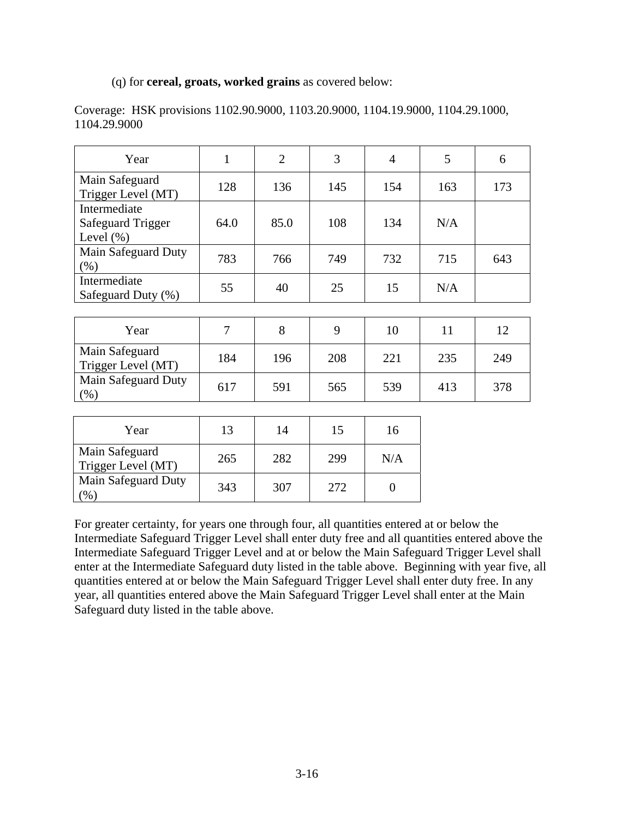#### (q) for **cereal, groats, worked grains** as covered below:

| Year                                                      | 1    | $\overline{2}$ | 3   | $\overline{4}$ | 5   | 6   |
|-----------------------------------------------------------|------|----------------|-----|----------------|-----|-----|
| Main Safeguard<br>Trigger Level (MT)                      | 128  | 136            | 145 | 154            | 163 | 173 |
| Intermediate<br><b>Safeguard Trigger</b><br>Level $(\% )$ | 64.0 | 85.0           | 108 | 134            | N/A |     |
| Main Safeguard Duty<br>$(\%)$                             | 783  | 766            | 749 | 732            | 715 | 643 |
| Intermediate<br>Safeguard Duty (%)                        | 55   | 40             | 25  | 15             | N/A |     |
|                                                           |      |                |     |                |     |     |
| Year                                                      | 7    | 8              | 9   | 10             | 11  | 12  |
| Main Safeguard<br>Trigger Level (MT)                      | 184  | 196            | 208 | 221            | 235 | 249 |
| Main Safeguard Duty<br>(% )                               | 617  | 591            | 565 | 539            | 413 | 378 |
|                                                           |      |                |     |                |     |     |
| Year                                                      | 13   | 14             | 15  | 16             |     |     |

Coverage: HSK provisions 1102.90.9000, 1103.20.9000, 1104.19.9000, 1104.29.1000, 1104.29.9000

| Year                                 | 13  | 14  | 15  | 16  |
|--------------------------------------|-----|-----|-----|-----|
| Main Safeguard<br>Trigger Level (MT) | 265 | 282 | 299 | N/A |
| <b>Main Safeguard Duty</b><br>$\%$   | 343 | 307 | 272 |     |

For greater certainty, for years one through four, all quantities entered at or below the Intermediate Safeguard Trigger Level shall enter duty free and all quantities entered above the Intermediate Safeguard Trigger Level and at or below the Main Safeguard Trigger Level shall enter at the Intermediate Safeguard duty listed in the table above. Beginning with year five, all quantities entered at or below the Main Safeguard Trigger Level shall enter duty free. In any year, all quantities entered above the Main Safeguard Trigger Level shall enter at the Main Safeguard duty listed in the table above.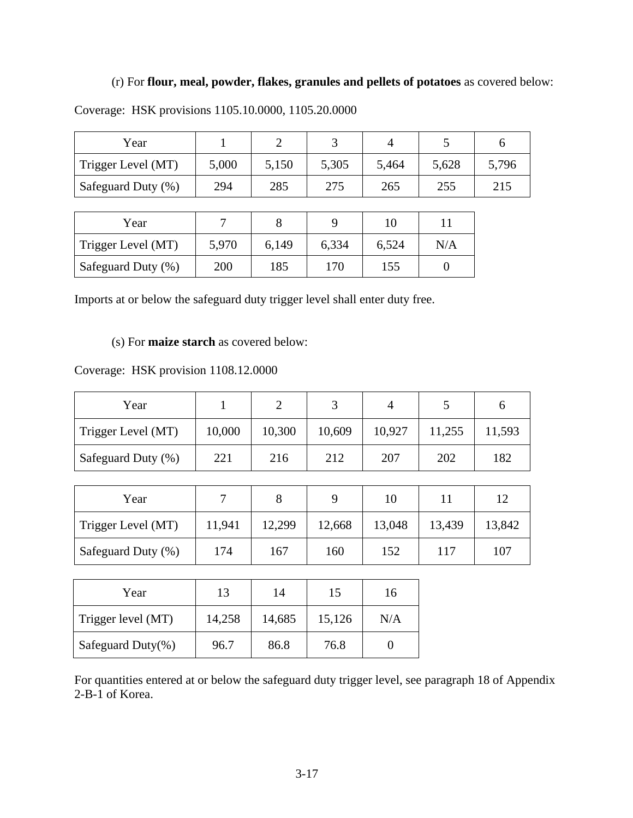## (r) For **flour, meal, powder, flakes, granules and pellets of potatoes** as covered below:

| Year               |       |       |       |       |       |       |
|--------------------|-------|-------|-------|-------|-------|-------|
| Trigger Level (MT) | 5,000 | 5,150 | 5,305 | 5,464 | 5,628 | 5,796 |
| Safeguard Duty (%) | 294   | 285   | 275   | 265   | 255   | 215   |

Coverage: HSK provisions 1105.10.0000, 1105.20.0000

| Year               |       |       |       |       |     |
|--------------------|-------|-------|-------|-------|-----|
| Trigger Level (MT) | 5,970 | 6,149 | 6,334 | 6,524 | N/A |
| Safeguard Duty (%) | 200   | 185   | 170   | 155   |     |

Imports at or below the safeguard duty trigger level shall enter duty free.

(s) For **maize starch** as covered below:

Coverage: HSK provision 1108.12.0000

| Year               |        |        |        |        |        |        |
|--------------------|--------|--------|--------|--------|--------|--------|
| Trigger Level (MT) | 10,000 | 10,300 | 10,609 | 10,927 | 11,255 | 11,593 |
| Safeguard Duty (%) | 221    | 216    | 212    | 207    | 202    | 182    |

| Year               |        |        |        | 10     |        | 12     |
|--------------------|--------|--------|--------|--------|--------|--------|
| Trigger Level (MT) | 11,941 | 12,299 | 12,668 | 13,048 | 13,439 | 13,842 |
| Safeguard Duty (%) | 174    | 167    | 160    | 152    | 117    | 107    |

| Year                  | 13     | 14     | 15     | 16  |
|-----------------------|--------|--------|--------|-----|
| Trigger level (MT)    | 14,258 | 14,685 | 15,126 | N/A |
| Safeguard Duty $(\%)$ | 96.7   | 86.8   | 76.8   |     |

For quantities entered at or below the safeguard duty trigger level, see paragraph 18 of Appendix 2-B-1 of Korea.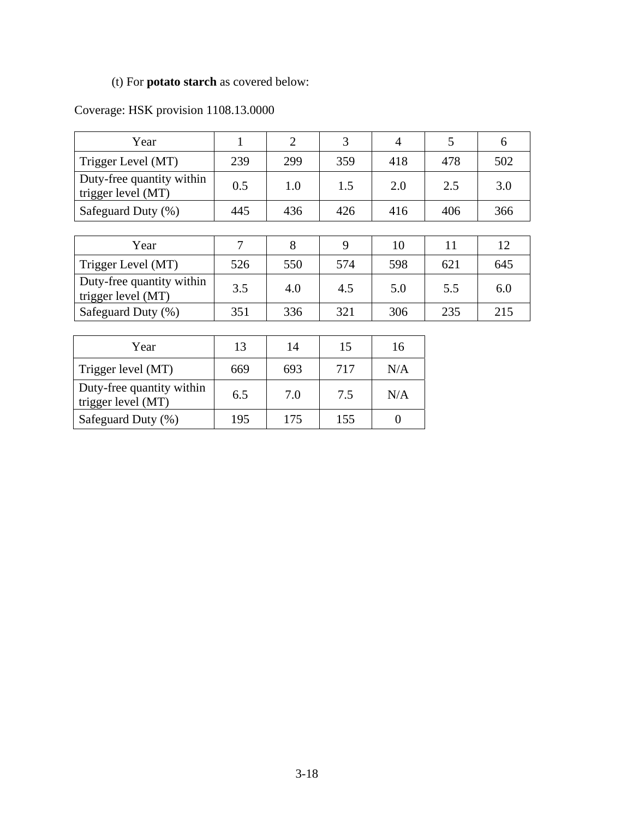# (t) For **potato starch** as covered below:

# Coverage: HSK provision 1108.13.0000

| Year                                            | 1   | $\overline{2}$ | 3   | $\overline{4}$ | 5   | 6   |
|-------------------------------------------------|-----|----------------|-----|----------------|-----|-----|
| Trigger Level (MT)                              | 239 | 299            | 359 | 418            | 478 | 502 |
| Duty-free quantity within<br>trigger level (MT) | 0.5 | 1.0            | 1.5 | 2.0            | 2.5 | 3.0 |
| Safeguard Duty (%)                              | 445 | 436            | 426 | 416            | 406 | 366 |
|                                                 |     |                |     |                |     |     |
| Year                                            | 7   | 8              | 9   | 10             | 11  | 12  |
| Trigger Level (MT)                              | 526 | 550            | 574 | 598            | 621 | 645 |
| Duty-free quantity within<br>trigger level (MT) | 3.5 | 4.0            | 4.5 | 5.0            | 5.5 | 6.0 |
| Safeguard Duty (%)                              | 351 | 336            | 321 | 306            | 235 | 215 |
|                                                 |     |                |     |                |     |     |
| Year                                            | 13  | 14             | 15  | 16             |     |     |
| Trigger level (MT)                              | 669 | 693            | 717 | N/A            |     |     |
| Duty-free quantity within<br>trigger level (MT) | 6.5 | 7.0            | 7.5 | N/A            |     |     |

Safeguard Duty (%) | 195 | 175 | 155 | 0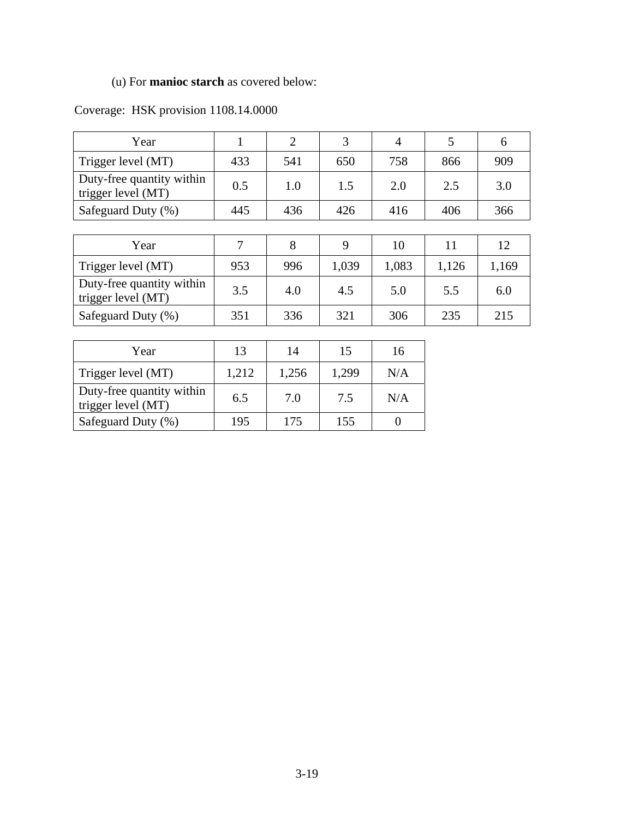# (u) For **manioc starch** as covered below:

# Coverage: HSK provision 1108.14.0000

| Year                                            | 1              | $\overline{2}$ | 3     | $\overline{4}$ | 5     | 6     |
|-------------------------------------------------|----------------|----------------|-------|----------------|-------|-------|
| Trigger level (MT)                              | 433            | 541            | 650   | 758            | 866   | 909   |
| Duty-free quantity within<br>trigger level (MT) | 0.5            | 1.0            | 1.5   | 2.0            | 2.5   | 3.0   |
| Safeguard Duty (%)                              | 445            | 436            | 426   | 416            | 406   | 366   |
|                                                 |                |                |       |                |       |       |
| Year                                            | $\overline{7}$ | 8              | 9     | 10             | 11    | 12    |
| Trigger level (MT)                              | 953            | 996            | 1,039 | 1,083          | 1,126 | 1,169 |
| Duty-free quantity within<br>trigger level (MT) | 3.5            | 4.0            | 4.5   | 5.0            | 5.5   | 6.0   |
| Safeguard Duty (%)                              | 351            | 336            | 321   | 306            | 235   | 215   |
|                                                 |                |                |       |                |       |       |
| Year                                            | 13             | 14             | 15    | 16             |       |       |
| Trigger level (MT)                              | 1,212          | 1,256          | 1,299 | N/A            |       |       |

Duty-free quantity within  $\begin{vmatrix} 6.5 & 7.0 & 7.5 \end{vmatrix}$  N/A

Safeguard Duty (%) 195 175 155 0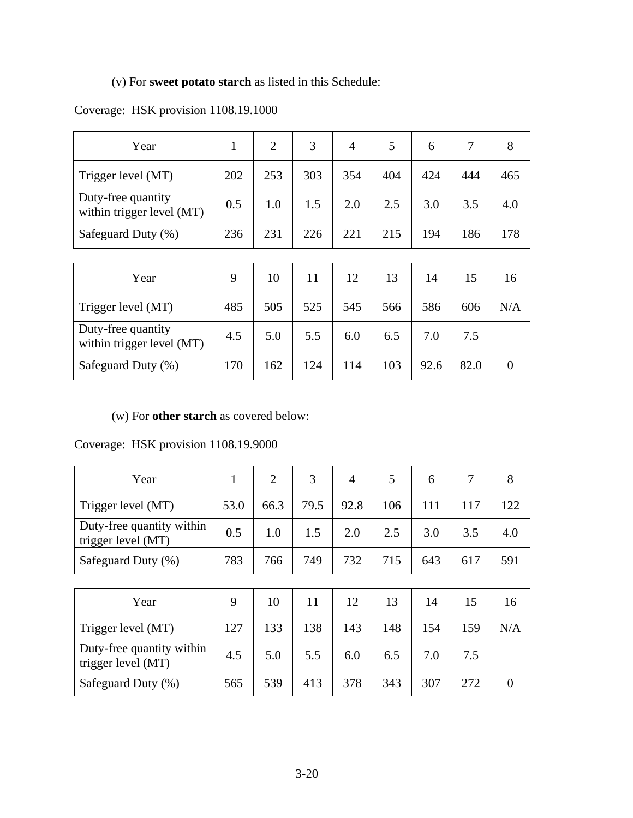# (v) For **sweet potato starch** as listed in this Schedule:

## Coverage: HSK provision 1108.19.1000

| Year                                            |     | 2   |     | 4   |     | 6   |     | 8   |
|-------------------------------------------------|-----|-----|-----|-----|-----|-----|-----|-----|
| Trigger level (MT)                              | 202 | 253 | 303 | 354 | 404 | 424 | 444 | 465 |
| Duty-free quantity<br>within trigger level (MT) | 0.5 | 1.0 |     | 2.0 | 2.5 | 3.0 | 3.5 | 4.0 |
| Safeguard Duty (%)                              | 236 | 231 | 226 | 221 | 215 | 194 | 186 | 178 |

| Year                                            | 9   | 10  |     | 12  | 13  | 14   |      | 16  |
|-------------------------------------------------|-----|-----|-----|-----|-----|------|------|-----|
| Trigger level (MT)                              | 485 | 505 | 525 | 545 | 566 | 586  | 606  | N/A |
| Duty-free quantity<br>within trigger level (MT) | 4.5 | 5.0 | 5.5 | 6.0 | 6.5 | 7.0  | 7.5  |     |
| Safeguard Duty (%)                              | 170 | 162 | 124 | 114 | 103 | 92.6 | 82.0 |     |

(w) For **other starch** as covered below:

Coverage: HSK provision 1108.19.9000

| Year                                            | 1    | $\overline{2}$ | 3    | $\overline{4}$ | 5   | 6   | $\overline{7}$ | 8              |
|-------------------------------------------------|------|----------------|------|----------------|-----|-----|----------------|----------------|
| Trigger level (MT)                              | 53.0 | 66.3           | 79.5 | 92.8           | 106 | 111 | 117            | 122            |
| Duty-free quantity within<br>trigger level (MT) | 0.5  | 1.0            | 1.5  | 2.0            | 2.5 | 3.0 | 3.5            | 4.0            |
| Safeguard Duty (%)                              | 783  | 766            | 749  | 732            | 715 | 643 | 617            | 591            |
|                                                 |      |                |      |                |     |     |                |                |
| Year                                            | 9    | 10             | 11   | 12             | 13  | 14  | 15             | 16             |
| Trigger level (MT)                              | 127  | 133            | 138  | 143            | 148 | 154 | 159            | N/A            |
| Duty-free quantity within<br>trigger level (MT) | 4.5  | 5.0            | 5.5  | 6.0            | 6.5 | 7.0 | 7.5            |                |
| Safeguard Duty (%)                              | 565  | 539            | 413  | 378            | 343 | 307 | 272            | $\overline{0}$ |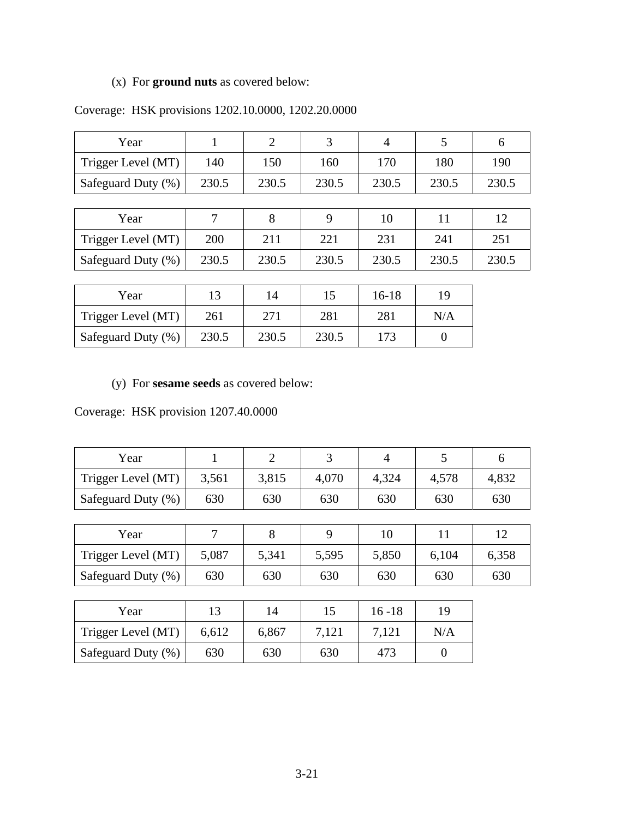# (x) For **ground nuts** as covered below:

| Year               |            | 2     | 3     | $\overline{4}$ | 5     | 6     |
|--------------------|------------|-------|-------|----------------|-------|-------|
| Trigger Level (MT) | 140        | 150   | 160   | 170            | 180   | 190   |
| Safeguard Duty (%) | 230.5      | 230.5 | 230.5 | 230.5          | 230.5 | 230.5 |
|                    |            |       |       |                |       |       |
| Year               |            | 8     | 9     | 10             | 11    | 12    |
| Trigger Level (MT) | <b>200</b> | 211   | 221   | 231            | 241   | 251   |
| Safeguard Duty (%) | 230.5      | 230.5 | 230.5 | 230.5          | 230.5 | 230.5 |

# Coverage: HSK provisions 1202.10.0000, 1202.20.0000

| Year               | 13    | 14    | 15    | 16-18 | 19  |
|--------------------|-------|-------|-------|-------|-----|
| Trigger Level (MT) | 261   | 271   | 281   | 281   | N/A |
| Safeguard Duty (%) | 230.5 | 230.5 | 230.5 | 173   |     |

(y) For **sesame seeds** as covered below:

Coverage: HSK provision 1207.40.0000

| Year               |       |       |       |       |       |       |
|--------------------|-------|-------|-------|-------|-------|-------|
| Trigger Level (MT) | 3,561 | 3,815 | 4,070 | 4,324 | 4,578 | 4,832 |
| Safeguard Duty (%) | 630   | 630   | 630   | 630   | 630   | 630   |

| Year               |       |       |       |       |       |       |
|--------------------|-------|-------|-------|-------|-------|-------|
| Trigger Level (MT) | 5,087 | 5,341 | 5,595 | 5,850 | 6,104 | 6,358 |
| Safeguard Duty (%) | 630   | 630   | 630   | 630   | 630   | 630   |

| Year               | 13    | 14    |       | $16 - 18$ | 19  |
|--------------------|-------|-------|-------|-----------|-----|
| Trigger Level (MT) | 6,612 | 6,867 | 7,121 | 7,121     | N/A |
| Safeguard Duty (%) | 630   | 630   | 630   | 473       |     |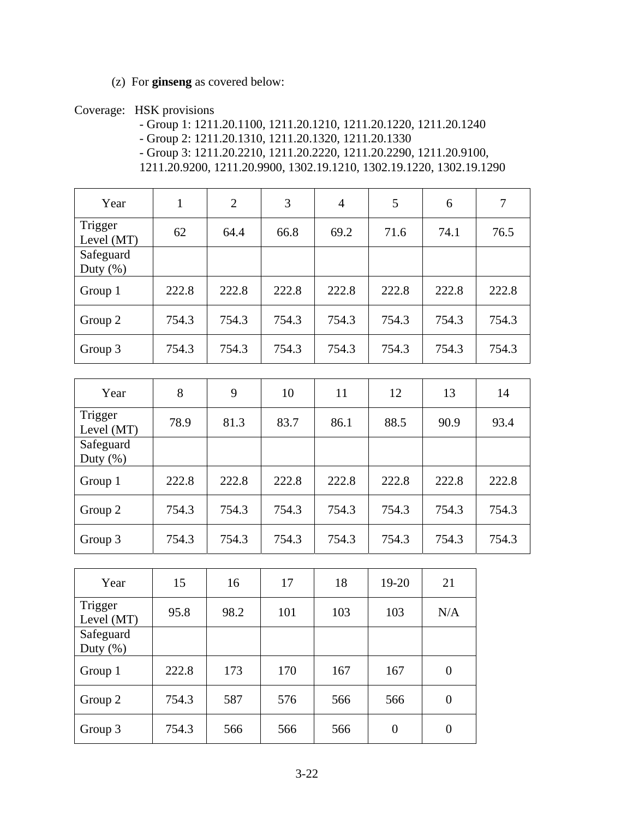(z) For **ginseng** as covered below:

Coverage: HSK provisions

- Group 1: 1211.20.1100, 1211.20.1210, 1211.20.1220, 1211.20.1240 - Group 2: 1211.20.1310, 1211.20.1320, 1211.20.1330 - Group 3: 1211.20.2210, 1211.20.2220, 1211.20.2290, 1211.20.9100, 1211.20.9200, 1211.20.9900, 1302.19.1210, 1302.19.1220, 1302.19.1290

| Year                     | $\mathbf{1}$ | 2     | 3     | $\overline{4}$ | 5     | 6     | $\overline{7}$ |
|--------------------------|--------------|-------|-------|----------------|-------|-------|----------------|
| Trigger<br>Level (MT)    | 62           | 64.4  | 66.8  | 69.2           | 71.6  | 74.1  | 76.5           |
| Safeguard<br>Duty $(\%)$ |              |       |       |                |       |       |                |
| Group 1                  | 222.8        | 222.8 | 222.8 | 222.8          | 222.8 | 222.8 | 222.8          |
| Group 2                  | 754.3        | 754.3 | 754.3 | 754.3          | 754.3 | 754.3 | 754.3          |
| Group 3                  | 754.3        | 754.3 | 754.3 | 754.3          | 754.3 | 754.3 | 754.3          |

| Year                     | 8     | 9     | 10    | 11    | 12    | 13    | 14    |
|--------------------------|-------|-------|-------|-------|-------|-------|-------|
| Trigger<br>Level $(MT)$  | 78.9  | 81.3  | 83.7  | 86.1  | 88.5  | 90.9  | 93.4  |
| Safeguard<br>Duty $(\%)$ |       |       |       |       |       |       |       |
| Group 1                  | 222.8 | 222.8 | 222.8 | 222.8 | 222.8 | 222.8 | 222.8 |
| Group 2                  | 754.3 | 754.3 | 754.3 | 754.3 | 754.3 | 754.3 | 754.3 |
| Group 3                  | 754.3 | 754.3 | 754.3 | 754.3 | 754.3 | 754.3 | 754.3 |

| Year                      | 15    | 16   | 17  | 18  | $19 - 20$      | 21             |
|---------------------------|-------|------|-----|-----|----------------|----------------|
| Trigger<br>Level (MT)     | 95.8  | 98.2 | 101 | 103 | 103            | N/A            |
| Safeguard<br>Duty $(\% )$ |       |      |     |     |                |                |
| Group 1                   | 222.8 | 173  | 170 | 167 | 167            | 0              |
| Group 2                   | 754.3 | 587  | 576 | 566 | 566            | $\overline{0}$ |
| Group 3                   | 754.3 | 566  | 566 | 566 | $\overline{0}$ | 0              |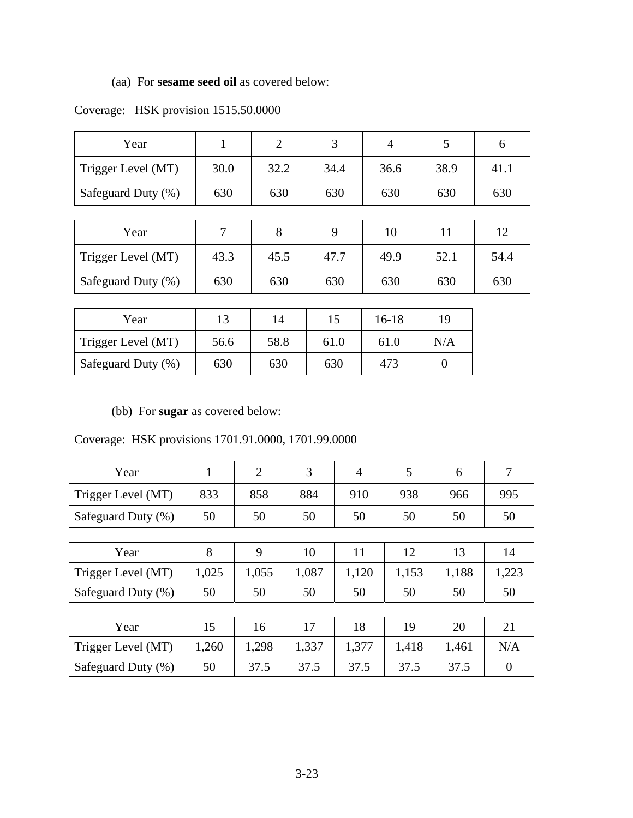# (aa) For **sesame seed oil** as covered below:

| Year               |      | $\overline{2}$ | 3    | 4    | 5    | 6    |
|--------------------|------|----------------|------|------|------|------|
| Trigger Level (MT) | 30.0 | 32.2           | 34.4 | 36.6 | 38.9 | 41.1 |
| Safeguard Duty (%) | 630  | 630            | 630  | 630  | 630  | 630  |
|                    |      |                |      |      |      |      |
| Year               | 7    | 8              | 9    | 10   | 11   | 12   |
| Trigger Level (MT) | 43.3 | 45.5           | 47.7 | 49.9 | 52.1 | 54.4 |
| Safeguard Duty (%) | 630  | 630            | 630  | 630  | 630  | 630  |

## Coverage: HSK provision 1515.50.0000

| Year               | 13   | 14   |      | $16 - 18$ | 19  |
|--------------------|------|------|------|-----------|-----|
| Trigger Level (MT) | 56.6 | 58.8 | 61.0 | 61.0      | N/A |
| Safeguard Duty (%) | 630  | 630  | 630  | 473       |     |

(bb) For **sugar** as covered below:

Coverage: HSK provisions 1701.91.0000, 1701.99.0000

| Year               | 1     | $\overline{2}$ | 3     | 4     | 5     | 6     | 7        |
|--------------------|-------|----------------|-------|-------|-------|-------|----------|
| Trigger Level (MT) | 833   | 858            | 884   | 910   | 938   | 966   | 995      |
| Safeguard Duty (%) | 50    | 50             | 50    | 50    | 50    | 50    | 50       |
|                    |       |                |       |       |       |       |          |
| Year               | 8     | 9              | 10    | 11    | 12    | 13    | 14       |
| Trigger Level (MT) | 1,025 | 1,055          | 1,087 | 1,120 | 1,153 | 1,188 | 1,223    |
| Safeguard Duty (%) | 50    | 50             | 50    | 50    | 50    | 50    | 50       |
|                    |       |                |       |       |       |       |          |
| Year               | 15    | 16             | 17    | 18    | 19    | 20    | 21       |
| Trigger Level (MT) | 1,260 | 1,298          | 1,337 | 1,377 | 1,418 | 1,461 | N/A      |
| Safeguard Duty (%) | 50    | 37.5           | 37.5  | 37.5  | 37.5  | 37.5  | $\theta$ |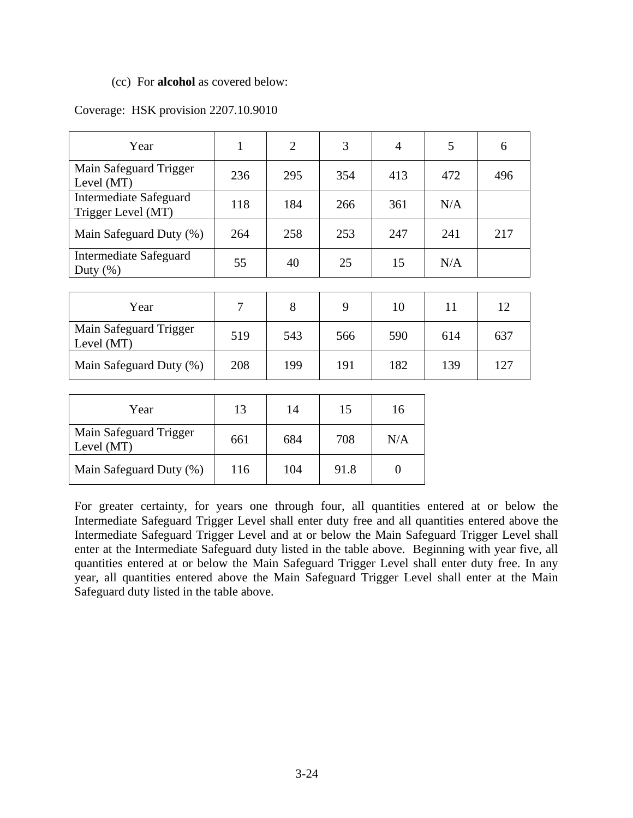#### (cc) For **alcohol** as covered below:

#### Coverage: HSK provision 2207.10.9010

| Year                                                | 1   | $\overline{2}$ | 3   | $\overline{4}$ | 5   | 6   |
|-----------------------------------------------------|-----|----------------|-----|----------------|-----|-----|
| Main Safeguard Trigger<br>Level (MT)                | 236 | 295            | 354 | 413            | 472 | 496 |
| <b>Intermediate Safeguard</b><br>Trigger Level (MT) | 118 | 184            | 266 | 361            | N/A |     |
| Main Safeguard Duty (%)                             | 264 | 258            | 253 | 247            | 241 | 217 |
| <b>Intermediate Safeguard</b><br>Duty $(\%)$        | 55  | 40             | 25  | 15             | N/A |     |
|                                                     |     |                |     |                |     |     |
| Year                                                | 7   | 8              | 9   | 10             | 11  | 12  |
| Main Safeguard Trigger<br>Level (MT)                | 519 | 543            | 566 | 590            | 614 | 637 |
| Main Safeguard Duty (%)                             | 208 | 199            | 191 | 182            | 139 | 127 |
|                                                     |     |                |     |                |     |     |
| Year                                                | 13  | 14             | 15  | 16             |     |     |
| Main Safeguard Trigger<br>Level (MT)                | 661 | 684            | 708 | N/A            |     |     |

For greater certainty, for years one through four, all quantities entered at or below the Intermediate Safeguard Trigger Level shall enter duty free and all quantities entered above the Intermediate Safeguard Trigger Level and at or below the Main Safeguard Trigger Level shall enter at the Intermediate Safeguard duty listed in the table above. Beginning with year five, all quantities entered at or below the Main Safeguard Trigger Level shall enter duty free. In any year, all quantities entered above the Main Safeguard Trigger Level shall enter at the Main Safeguard duty listed in the table above.

Main Safeguard Duty (%) | 116 | 104 | 91.8 | 0